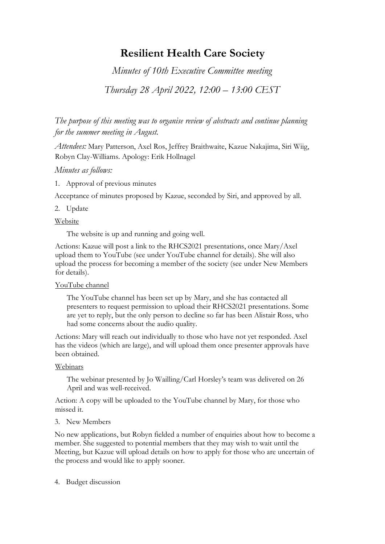# **Resilient Health Care Society**

*Minutes of 10th Executive Committee meeting* 

*Thursday 28 April 2022, 12:00 – 13:00 CEST*

*The purpose of this meeting was to organise review of abstracts and continue planning for the summer meeting in August.*

*Attendees:* Mary Patterson, Axel Ros, Jeffrey Braithwaite, Kazue Nakajima, Siri Wiig, Robyn Clay-Williams. Apology: Erik Hollnagel

# *Minutes as follows:*

1. Approval of previous minutes

Acceptance of minutes proposed by Kazue, seconded by Siri, and approved by all.

2. Update

Website

The website is up and running and going well.

Actions: Kazue will post a link to the RHCS2021 presentations, once Mary/Axel upload them to YouTube (see under YouTube channel for details). She will also upload the process for becoming a member of the society (see under New Members for details).

# YouTube channel

The YouTube channel has been set up by Mary, and she has contacted all presenters to request permission to upload their RHCS2021 presentations. Some are yet to reply, but the only person to decline so far has been Alistair Ross, who had some concerns about the audio quality.

Actions: Mary will reach out individually to those who have not yet responded. Axel has the videos (which are large), and will upload them once presenter approvals have been obtained.

# Webinars

The webinar presented by Jo Wailling/Carl Horsley's team was delivered on 26 April and was well-received.

Action: A copy will be uploaded to the YouTube channel by Mary, for those who missed it.

# 3. New Members

No new applications, but Robyn fielded a number of enquiries about how to become a member. She suggested to potential members that they may wish to wait until the Meeting, but Kazue will upload details on how to apply for those who are uncertain of the process and would like to apply sooner.

# 4. Budget discussion